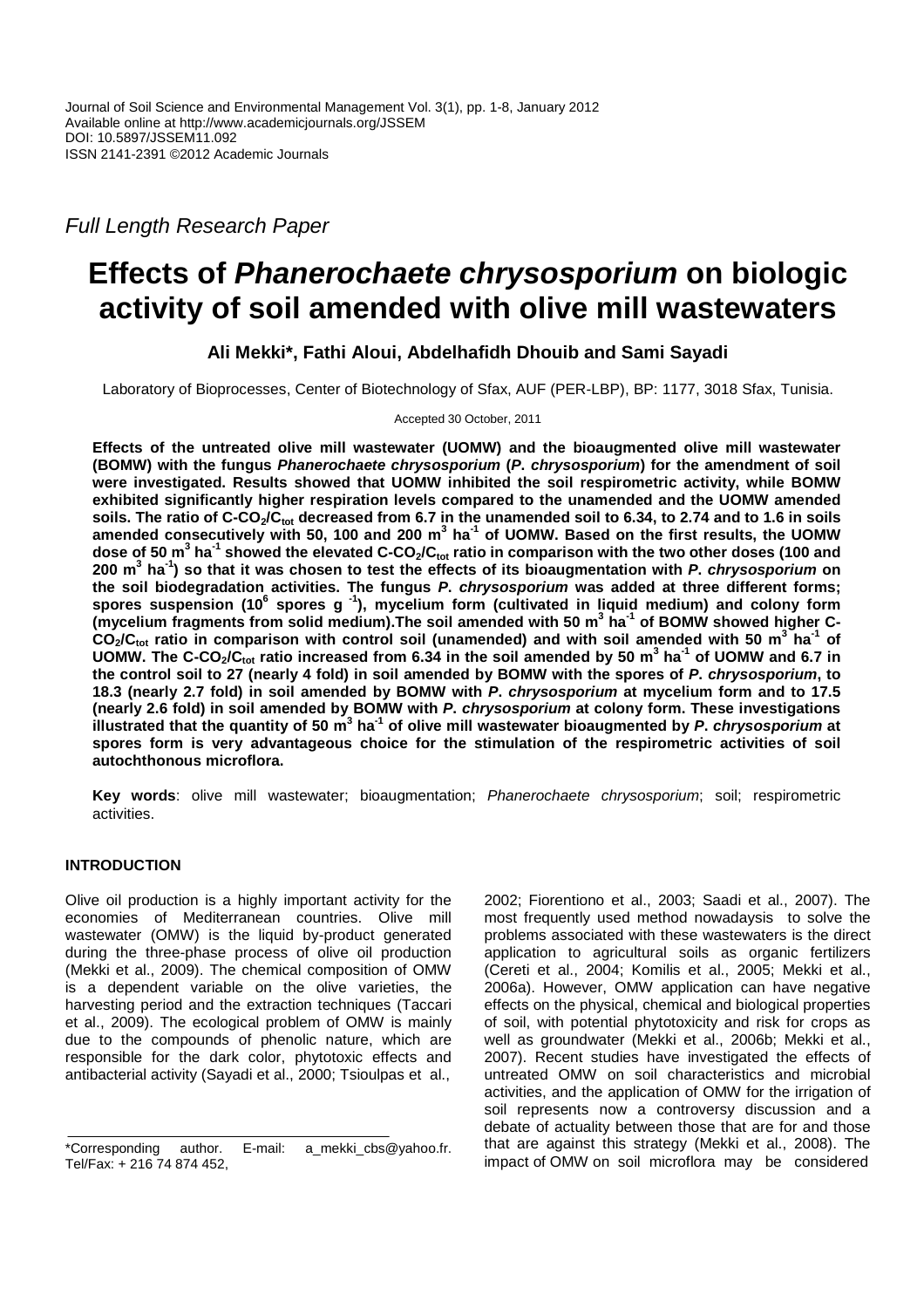Full Length Research Paper

# **Effects of Phanerochaete chrysosporium on biologic activity of soil amended with olive mill wastewaters**

**Ali Mekki\*, Fathi Aloui, Abdelhafidh Dhouib and Sami Sayadi** 

Laboratory of Bioprocesses, Center of Biotechnology of Sfax, AUF (PER-LBP), BP: 1177, 3018 Sfax, Tunisia.

Accepted 30 October, 2011

**Effects of the untreated olive mill wastewater (UOMW) and the bioaugmented olive mill wastewater (BOMW) with the fungus Phanerochaete chrysosporium (P. chrysosporium) for the amendment of soil were investigated. Results showed that UOMW inhibited the soil respirometric activity, while BOMW exhibited significantly higher respiration levels compared to the unamended and the UOMW amended soils. The ratio of C-CO2/Ctot decreased from 6.7 in the unamended soil to 6.34, to 2.74 and to 1.6 in soils amended consecutively with 50, 100 and 200 m<sup>3</sup> ha-1 of UOMW. Based on the first results, the UOMW dose of 50 m<sup>3</sup> ha-1 showed the elevated C-CO2/Ctot ratio in comparison with the two other doses (100 and 200 m<sup>3</sup> ha-1) so that it was chosen to test the effects of its bioaugmentation with P. chrysosporium on the soil biodegradation activities. The fungus P. chrysosporium was added at three different forms;**  spores suspension (10<sup>6</sup> spores g<sup>-1</sup>), mycelium form (cultivated in liquid medium) and colony form **(mycelium fragments from solid medium).The soil amended with 50 m<sup>3</sup> ha-1 of BOMW showed higher C-CO2/Ctot ratio in comparison with control soil (unamended) and with soil amended with 50 m<sup>3</sup> ha-1 of UOMW. The C-CO2/Ctot ratio increased from 6.34 in the soil amended by 50 m<sup>3</sup> ha-1 of UOMW and 6.7 in the control soil to 27 (nearly 4 fold) in soil amended by BOMW with the spores of P. chrysosporium, to 18.3 (nearly 2.7 fold) in soil amended by BOMW with P. chrysosporium at mycelium form and to 17.5 (nearly 2.6 fold) in soil amended by BOMW with P. chrysosporium at colony form. These investigations**  illustrated that the quantity of 50 m<sup>3</sup> ha<sup>-1</sup> of olive mill wastewater bioaugmented by P. *chrysosporium* at **spores form is very advantageous choice for the stimulation of the respirometric activities of soil autochthonous microflora.** 

**Key words**: olive mill wastewater; bioaugmentation; Phanerochaete chrysosporium; soil; respirometric activities.

# **INTRODUCTION**

Olive oil production is a highly important activity for the economies of Mediterranean countries. Olive mill wastewater (OMW) is the liquid by-product generated during the three-phase process of olive oil production (Mekki et al., 2009). The chemical composition of OMW is a dependent variable on the olive varieties, the harvesting period and the extraction techniques (Taccari et al., 2009). The ecological problem of OMW is mainly due to the compounds of phenolic nature, which are responsible for the dark color, phytotoxic effects and antibacterial activity (Sayadi et al., 2000; Tsioulpas et al.,

2002; Fiorentiono et al., 2003; Saadi et al., 2007). The most frequently used method nowadaysis to solve the problems associated with these wastewaters is the direct application to agricultural soils as organic fertilizers (Cereti et al., 2004; Komilis et al., 2005; Mekki et al., 2006a). However, OMW application can have negative effects on the physical, chemical and biological properties of soil, with potential phytotoxicity and risk for crops as well as groundwater (Mekki et al., 2006b; Mekki et al., 2007). Recent studies have investigated the effects of untreated OMW on soil characteristics and microbial activities, and the application of OMW for the irrigation of soil represents now a controversy discussion and a debate of actuality between those that are for and those that are against this strategy (Mekki et al., 2008). The impact of OMW on soil microflora may be considered

<sup>\*</sup>Corresponding author. E-mail: a\_mekki\_cbs@yahoo.fr. Tel/Fax: + 216 74 874 452,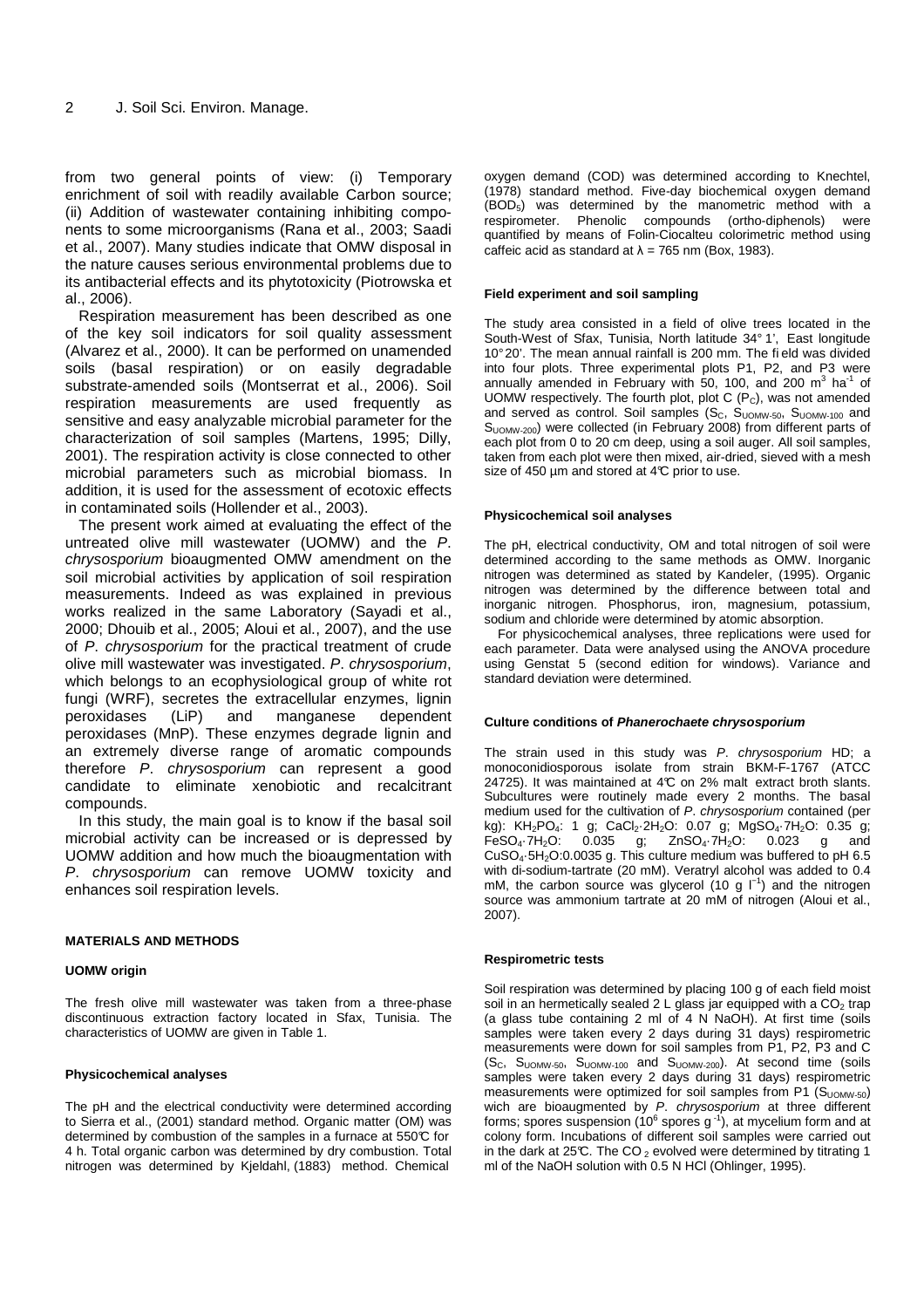from two general points of view: (i) Temporary enrichment of soil with readily available Carbon source; (ii) Addition of wastewater containing inhibiting components to some microorganisms (Rana et al., 2003; Saadi et al., 2007). Many studies indicate that OMW disposal in the nature causes serious environmental problems due to its antibacterial effects and its phytotoxicity (Piotrowska et al., 2006).

Respiration measurement has been described as one of the key soil indicators for soil quality assessment (Alvarez et al., 2000). It can be performed on unamended soils (basal respiration) or on easily degradable substrate-amended soils (Montserrat et al., 2006). Soil respiration measurements are used frequently as sensitive and easy analyzable microbial parameter for the characterization of soil samples (Martens, 1995; Dilly, 2001). The respiration activity is close connected to other microbial parameters such as microbial biomass. In addition, it is used for the assessment of ecotoxic effects in contaminated soils (Hollender et al., 2003).

The present work aimed at evaluating the effect of the untreated olive mill wastewater (UOMW) and the P. chrysosporium bioaugmented OMW amendment on the soil microbial activities by application of soil respiration measurements. Indeed as was explained in previous works realized in the same Laboratory (Sayadi et al., 2000; Dhouib et al., 2005; Aloui et al., 2007), and the use of P. chrysosporium for the practical treatment of crude olive mill wastewater was investigated. P. chrysosporium, which belongs to an ecophysiological group of white rot fungi (WRF), secretes the extracellular enzymes, lignin peroxidases (LiP) and manganese dependent peroxidases (MnP). These enzymes degrade lignin and an extremely diverse range of aromatic compounds therefore P. chrysosporium can represent a good candidate to eliminate xenobiotic and recalcitrant compounds.

In this study, the main goal is to know if the basal soil microbial activity can be increased or is depressed by UOMW addition and how much the bioaugmentation with P. chrysosporium can remove UOMW toxicity and enhances soil respiration levels.

## **MATERIALS AND METHODS**

## **UOMW origin**

The fresh olive mill wastewater was taken from a three-phase discontinuous extraction factory located in Sfax, Tunisia. The characteristics of UOMW are given in Table 1.

## **Physicochemical analyses**

The pH and the electrical conductivity were determined according to Sierra et al., (2001) standard method. Organic matter (OM) was determined by combustion of the samples in a furnace at 550°C for 4 h. Total organic carbon was determined by dry combustion. Total nitrogen was determined by Kjeldahl, (1883) method. Chemical

oxygen demand (COD) was determined according to Knechtel, (1978) standard method. Five-day biochemical oxygen demand (BOD5) was determined by the manometric method with a respirometer. Phenolic compounds (ortho-diphenols) were quantified by means of Folin-Ciocalteu colorimetric method using caffeic acid as standard at  $\lambda = 765$  nm (Box, 1983).

## **Field experiment and soil sampling**

The study area consisted in a field of olive trees located in the South-West of Sfax, Tunisia, North latitude 34° 1', East longitude 10° 20'. The mean annual rainfall is 200 mm. The fi eld was divided into four plots. Three experimental plots P1, P2, and P3 were annually amended in February with 50, 100, and 200  $m^3$  ha<sup>-1</sup> of UOMW respectively. The fourth plot, plot C (Pc), was not amended and served as control. Soil samples  $(S_C, S_{UOMW-50}, S_{UOMW-100})$  and S<sub>UOMW-200</sub>) were collected (in February 2008) from different parts of each plot from 0 to 20 cm deep, using a soil auger. All soil samples, taken from each plot were then mixed, air-dried, sieved with a mesh size of 450 µm and stored at 4°C prior to use.

## **Physicochemical soil analyses**

The pH, electrical conductivity, OM and total nitrogen of soil were determined according to the same methods as OMW. Inorganic nitrogen was determined as stated by Kandeler, (1995). Organic nitrogen was determined by the difference between total and inorganic nitrogen. Phosphorus, iron, magnesium, potassium, sodium and chloride were determined by atomic absorption.

For physicochemical analyses, three replications were used for each parameter. Data were analysed using the ANOVA procedure using Genstat 5 (second edition for windows). Variance and standard deviation were determined.

## **Culture conditions of Phanerochaete chrysosporium**

The strain used in this study was P. chrysosporium HD; a monoconidiosporous isolate from strain BKM-F-1767 (ATCC 24725). It was maintained at 4°C on 2% malt extract broth slants. Subcultures were routinely made every 2 months. The basal medium used for the cultivation of P. chrysosporium contained (per kg): KH<sub>2</sub>PO<sub>4</sub>: 1 g; CaCl<sub>2</sub>·2H<sub>2</sub>O: 0.07 g; MgSO<sub>4</sub>·7H<sub>2</sub>O: 0.35 g;  $FeSO_4 \cdot 7H_2O$ : 0.035 g; ZnSO<sub>4</sub> $\cdot 7H_2O$ : 0.023 g and CuSO4·5H2O:0.0035 g. This culture medium was buffered to pH 6.5 with di-sodium-tartrate (20 mM). Veratryl alcohol was added to 0.4 mM, the carbon source was glycerol (10 g  $\vert^{-1}$ ) and the nitrogen source was ammonium tartrate at 20 mM of nitrogen (Aloui et al., 2007).

## **Respirometric tests**

Soil respiration was determined by placing 100 g of each field moist soil in an hermetically sealed 2 L glass jar equipped with a  $CO<sub>2</sub>$  trap (a glass tube containing 2 ml of 4 N NaOH). At first time (soils samples were taken every 2 days during 31 days) respirometric measurements were down for soil samples from P1, P2, P3 and C (SC, SUOMW-50, SUOMW-100 and SUOMW-200). At second time (soils samples were taken every 2 days during 31 days) respirometric measurements were optimized for soil samples from P1 (S<sub>UOMW-50</sub>) wich are bioaugmented by P. chrysosporium at three different forms; spores suspension (10 $^{\circ}$  spores g<sup>-1</sup>), at mycelium form and at colony form. Incubations of different soil samples were carried out in the dark at 25°C. The CO<sub>2</sub> evolved were determined by titrating 1 ml of the NaOH solution with 0.5 N HCl (Ohlinger, 1995).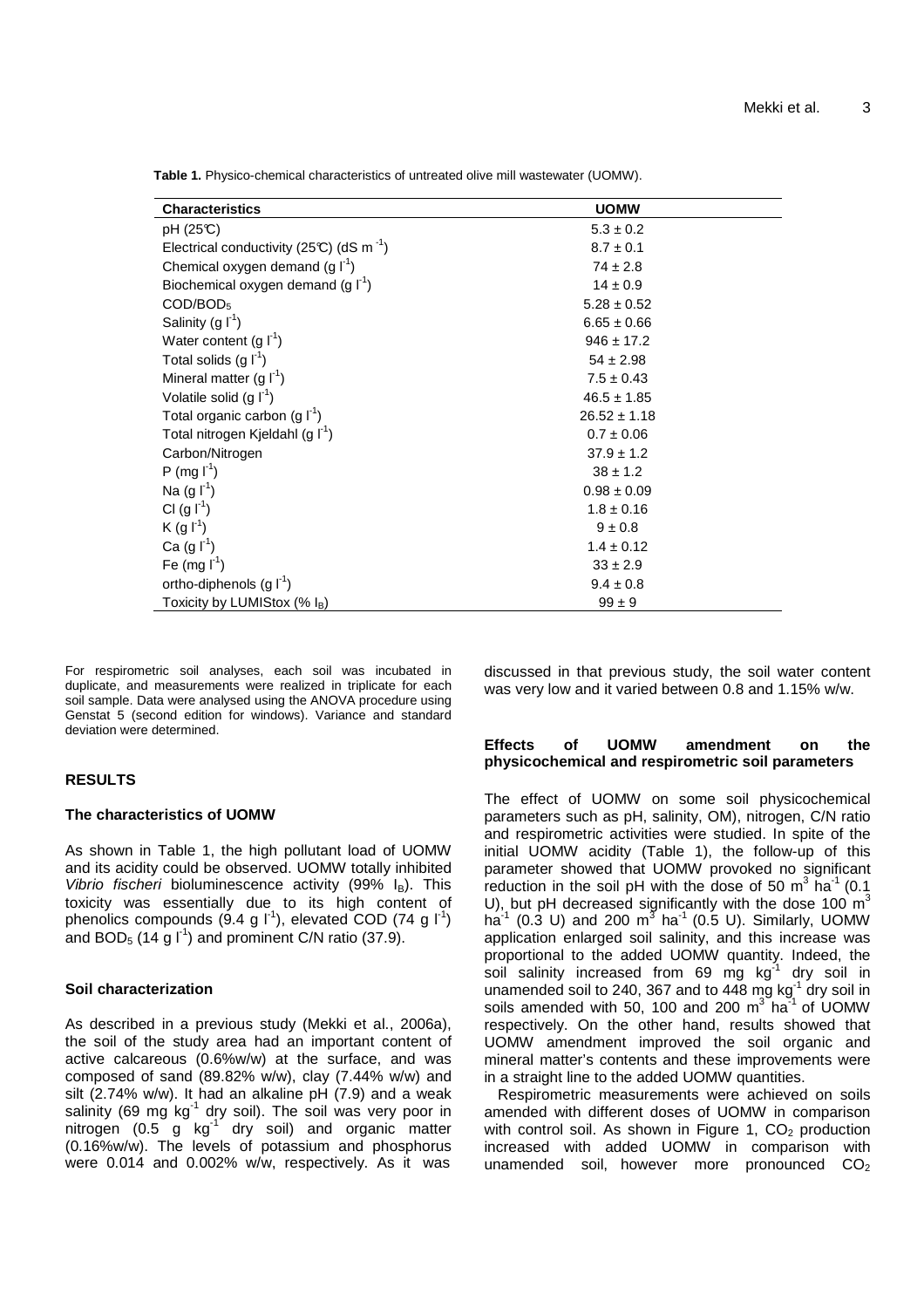**Table 1.** Physico-chemical characteristics of untreated olive mill wastewater (UOMW).

| <b>Characteristics</b>                               | <b>UOMW</b>      |
|------------------------------------------------------|------------------|
| pH (25°C)                                            | $5.3 \pm 0.2$    |
| Electrical conductivity (25°C) (dS m <sup>-1</sup> ) | $8.7 \pm 0.1$    |
| Chemical oxygen demand $(g I^1)$                     | $74 \pm 2.8$     |
| Biochemical oxygen demand $(g I^1)$                  | $14 \pm 0.9$     |
| $\text{COD/BOD}_5$                                   | $5.28 \pm 0.52$  |
| Salinity (g $\Gamma^1$ )                             | $6.65 \pm 0.66$  |
| Water content $(g f)$                                | $946 \pm 17.2$   |
| Total solids $(g ^{-1})$                             | $54 \pm 2.98$    |
| Mineral matter $(g \mid^1)$                          | $7.5 \pm 0.43$   |
| Volatile solid $(g ^{-1})$                           | $46.5 \pm 1.85$  |
| Total organic carbon (g $\Gamma^1$ )                 | $26.52 \pm 1.18$ |
| Total nitrogen Kjeldahl (g I <sup>-1</sup> )         | $0.7 \pm 0.06$   |
| Carbon/Nitrogen                                      | $37.9 \pm 1.2$   |
| P (mg   r <sup>1</sup> )                             | $38 \pm 1.2$     |
| Na (g $\Gamma^1$ )                                   | $0.98 \pm 0.09$  |
| CI $(g I^1)$                                         | $1.8 \pm 0.16$   |
| $K(g f^1)$                                           | $9 \pm 0.8$      |
| Ca $(g \, \Gamma^1)$                                 | $1.4 \pm 0.12$   |
| Fe (mg $I^1$ )                                       | $33 \pm 2.9$     |
| ortho-diphenols $(g \mid f')$                        | $9.4 \pm 0.8$    |
| Toxicity by LUMIStox (% I <sub>B</sub> )             | $99 \pm 9$       |

For respirometric soil analyses, each soil was incubated in duplicate, and measurements were realized in triplicate for each soil sample. Data were analysed using the ANOVA procedure using Genstat 5 (second edition for windows). Variance and standard deviation were determined.

## **RESULTS**

## **The characteristics of UOMW**

As shown in Table 1, the high pollutant load of UOMW and its acidity could be observed. UOMW totally inhibited Vibrio fischeri bioluminescence activity (99%  $I<sub>B</sub>$ ). This toxicity was essentially due to its high content of phenolics compounds (9.4 g  $\vert$ <sup>1</sup>), elevated COD (74 g  $\vert$ <sup>1</sup>) and BOD<sub>5</sub> (14 g  $\vert$ <sup>1</sup>) and prominent C/N ratio (37.9).

## **Soil characterization**

As described in a previous study (Mekki et al., 2006a), the soil of the study area had an important content of active calcareous (0.6%w/w) at the surface, and was composed of sand (89.82% w/w), clay (7.44% w/w) and silt (2.74% w/w). It had an alkaline pH (7.9) and a weak salinity (69 mg  $kg<sup>-1</sup>$  dry soil). The soil was very poor in nitrogen  $(0.5 \text{ g kg}^{-1} \text{ dry soil})$  and organic matter (0.16%w/w). The levels of potassium and phosphorus were 0.014 and 0.002% w/w, respectively. As it was

discussed in that previous study, the soil water content was very low and it varied between 0.8 and 1.15% w/w.

## **Effects of UOMW amendment on the physicochemical and respirometric soil parameters**

The effect of UOMW on some soil physicochemical parameters such as pH, salinity, OM), nitrogen, C/N ratio and respirometric activities were studied. In spite of the initial UOMW acidity (Table 1), the follow-up of this parameter showed that UOMW provoked no significant reduction in the soil pH with the dose of 50  $m^3$  ha<sup>-1</sup> (0.1) U), but pH decreased significantly with the dose 100  $m<sup>3</sup>$ ha $^{-1}$  (0.3 U) and 200 m<sup>3</sup> ha<sup>-1</sup> (0.5 U). Similarly, UOMW application enlarged soil salinity, and this increase was proportional to the added UOMW quantity. Indeed, the soil salinity increased from 69 mg  $kg^{-1}$  dry soil in unamended soil to 240, 367 and to 448 mg  $kg<sup>-1</sup>$  dry soil in soils amended with 50, 100 and 200  $m^3$  ha<sup>-1</sup> of UOMW respectively. On the other hand, results showed that UOMW amendment improved the soil organic and mineral matter's contents and these improvements were in a straight line to the added UOMW quantities.

Respirometric measurements were achieved on soils amended with different doses of UOMW in comparison with control soil. As shown in Figure 1,  $CO<sub>2</sub>$  production increased with added UOMW in comparison with unamended soil, however more pronounced  $CO<sub>2</sub>$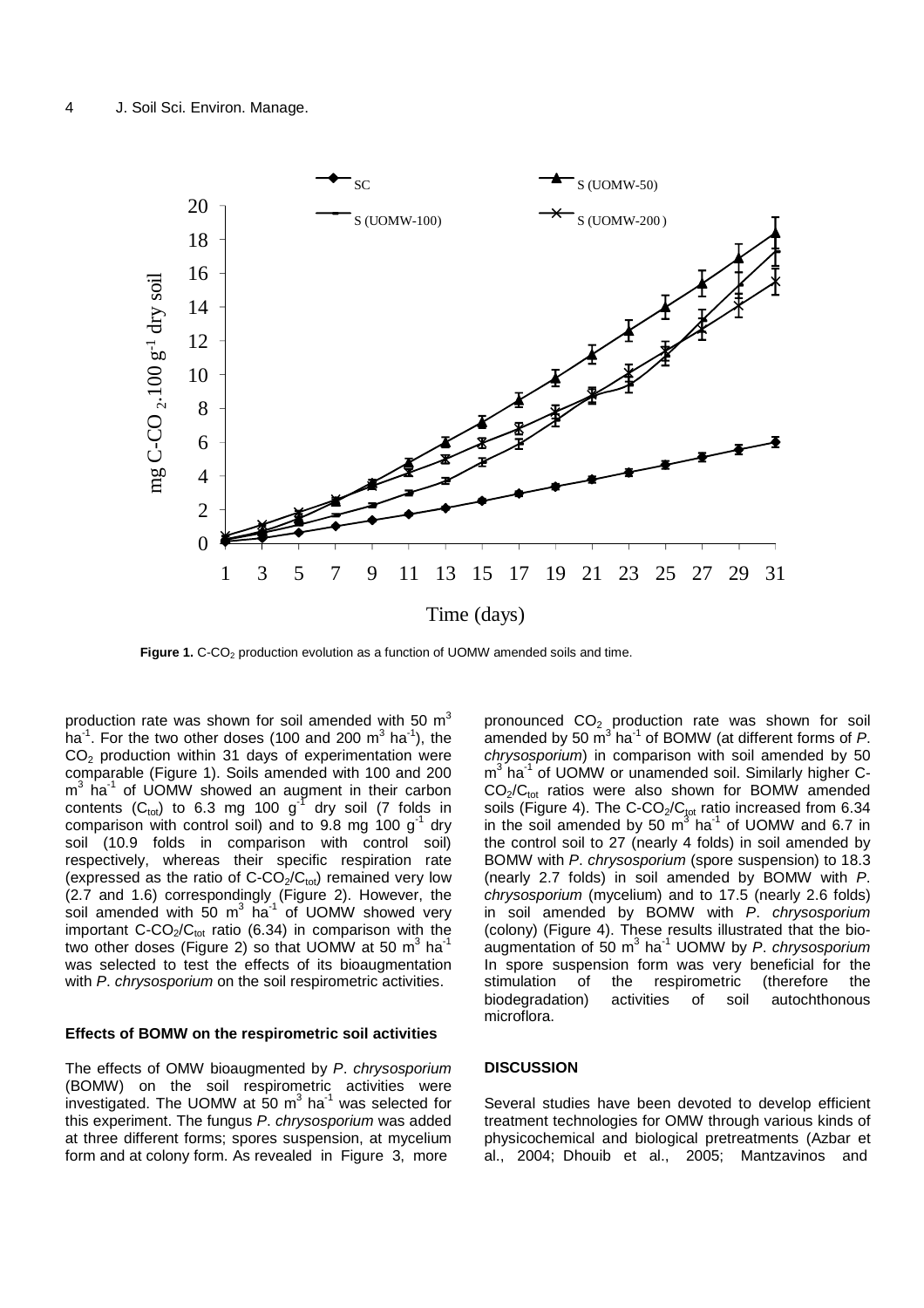

Figure 1. C-CO<sub>2</sub> production evolution as a function of UOMW amended soils and time.

production rate was shown for soil amended with 50  $m^3$ ha<sup>-1</sup>. For the two other doses (100 and 200 m<sup>3</sup> ha<sup>-1</sup>), the CO2 production within 31 days of experimentation were comparable (Figure 1). Soils amended with 100 and 200 m<sup>3</sup> ha<sup>-1</sup> of UOMW showed an augment in their carbon contents ( $C_{\text{tot}}$ ) to 6.3 mg 100 g<sup>-1</sup> dry soil (7 folds in comparison with control soil) and to 9.8 mg 100  $g^{-1}$  dry soil (10.9 folds in comparison with control soil) respectively, whereas their specific respiration rate (expressed as the ratio of  $C$ -CO<sub>2</sub>/C<sub>tot</sub>) remained very low (2.7 and 1.6) correspondingly (Figure 2). However, the soil amended with 50  $m^3$  ha<sup>-1</sup> of UOMW showed very important  $C$ -CO<sub>2</sub>/C<sub>tot</sub> ratio (6.34) in comparison with the two other doses (Figure 2) so that UOMW at 50  $\textsf{m}^{3}$  ha $^{\textsf{1}}$ was selected to test the effects of its bioaugmentation with P. chrysosporium on the soil respirometric activities.

## **Effects of BOMW on the respirometric soil activities**

The effects of OMW bioaugmented by P. chrysosporium (BOMW) on the soil respirometric activities were investigated. The UOMW at 50  $m^3$  ha<sup>-1</sup> was selected for this experiment. The fungus P. chrysosporium was added at three different forms; spores suspension, at mycelium form and at colony form. As revealed in Figure 3, more

pronounced  $CO<sub>2</sub>$  production rate was shown for soil amended by 50  $\text{m}^3$  ha<sup>-1</sup> of BOMW (at different forms of P. chrysosporium) in comparison with soil amended by 50 m<sup>3</sup> ha<sup>-1</sup> of UOMW or unamended soil. Similarly higher C- $CO<sub>2</sub>/C<sub>tot</sub>$  ratios were also shown for BOMW amended soils (Figure 4). The C-CO<sub>2</sub>/C<sub>tot</sub> ratio increased from  $6.34$ in the soil amended by 50  $\mathrm{m}^3$  ha<sup>-1</sup> of UOMW and 6.7 in the control soil to 27 (nearly 4 folds) in soil amended by BOMW with P. chrysosporium (spore suspension) to 18.3 (nearly 2.7 folds) in soil amended by BOMW with P. chrysosporium (mycelium) and to 17.5 (nearly 2.6 folds) in soil amended by BOMW with P. chrysosporium (colony) (Figure 4). These results illustrated that the bioaugmentation of 50 m<sup>3</sup> ha<sup>-1</sup> UOMW by P. chrysosporium In spore suspension form was very beneficial for the stimulation of the respirometric (therefore the biodegradation) activities of soil autochthonous microflora.

## **DISCUSSION**

Several studies have been devoted to develop efficient treatment technologies for OMW through various kinds of physicochemical and biological pretreatments (Azbar et al., 2004; Dhouib et al., 2005; Mantzavinos and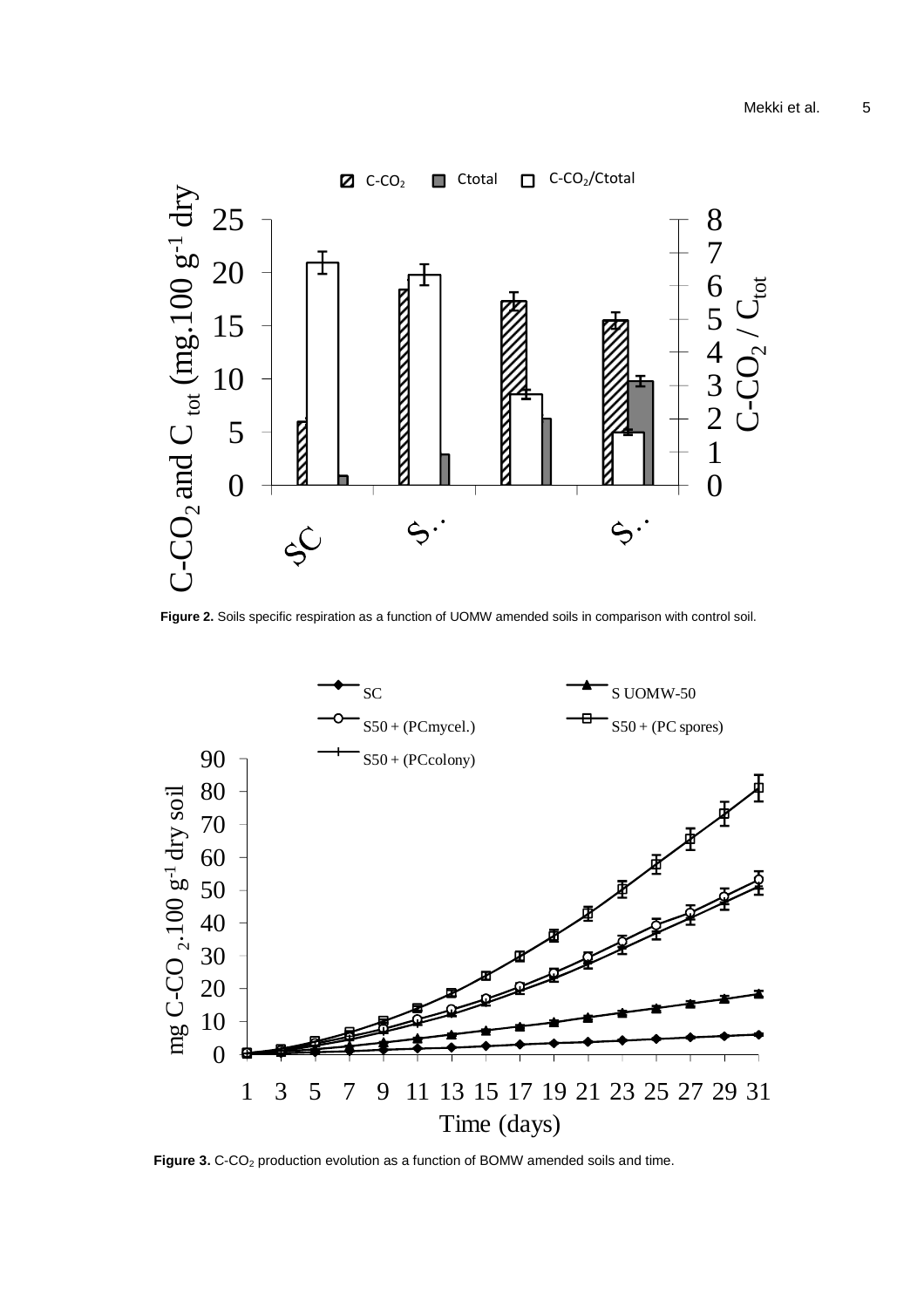

**Figure 2.** Soils specific respiration as a function of UOMW amended soils in comparison with control soil.



Figure 3. C-CO<sub>2</sub> production evolution as a function of BOMW amended soils and time.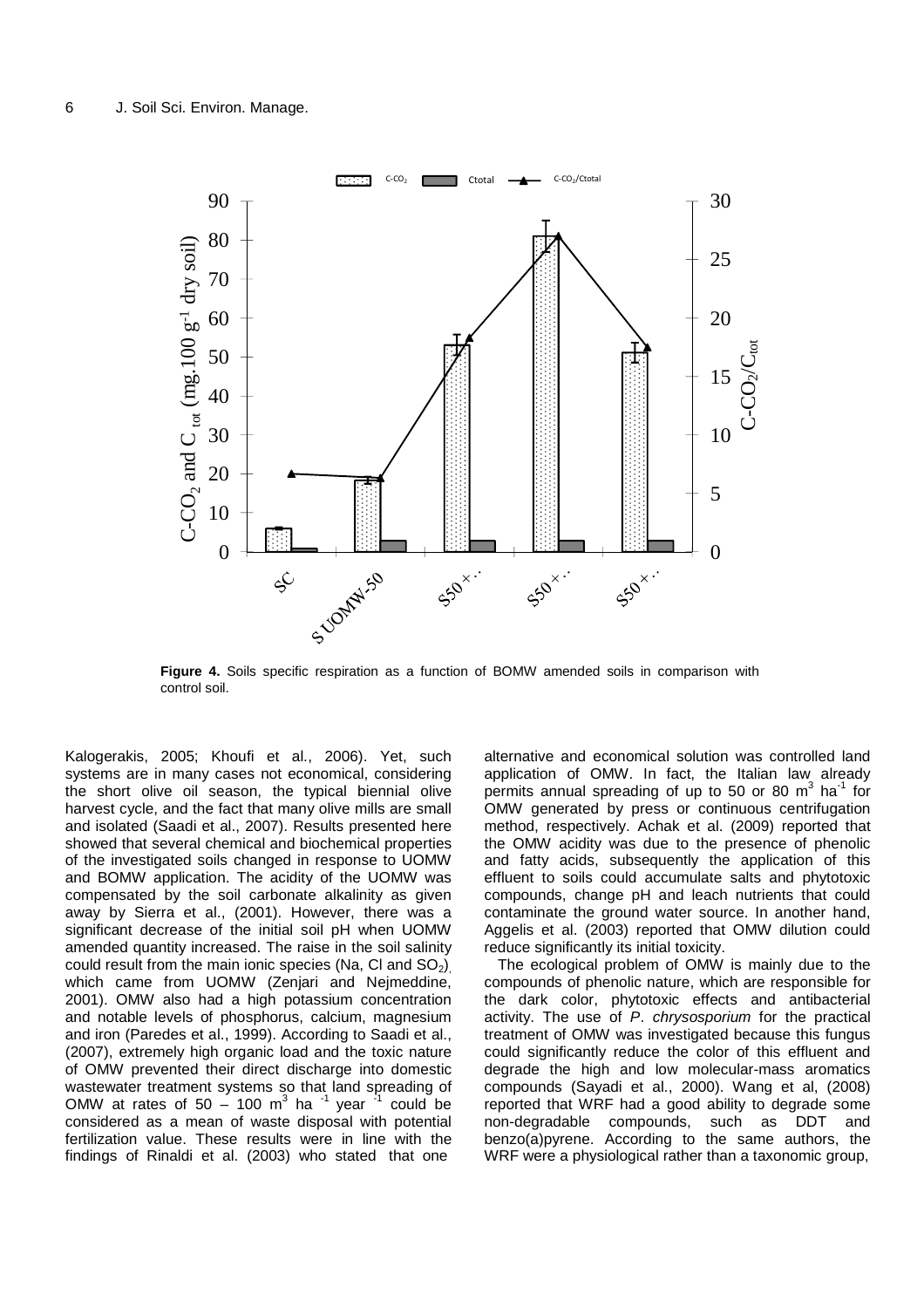

**Figure 4.** Soils specific respiration as a function of BOMW amended soils in comparison with control soil.

Kalogerakis, 2005; Khoufi et al., 2006). Yet, such systems are in many cases not economical, considering the short olive oil season, the typical biennial olive harvest cycle, and the fact that many olive mills are small and isolated (Saadi et al., 2007). Results presented here showed that several chemical and biochemical properties of the investigated soils changed in response to UOMW and BOMW application. The acidity of the UOMW was compensated by the soil carbonate alkalinity as given away by Sierra et al., (2001). However, there was a significant decrease of the initial soil pH when UOMW amended quantity increased. The raise in the soil salinity could result from the main ionic species (Na, CI and  $SO_2$ ) which came from UOMW (Zenjari and Nejmeddine, 2001). OMW also had a high potassium concentration and notable levels of phosphorus, calcium, magnesium and iron (Paredes et al., 1999). According to Saadi et al., (2007), extremely high organic load and the toxic nature of OMW prevented their direct discharge into domestic wastewater treatment systems so that land spreading of OMW at rates of  $50 - 100$  m<sup>3</sup> ha  $^{-1}$  year  $^{-1}$  could be considered as a mean of waste disposal with potential fertilization value. These results were in line with the findings of Rinaldi et al. (2003) who stated that one

alternative and economical solution was controlled land application of OMW. In fact, the Italian law already permits annual spreading of up to 50 or 80  $m^3$  ha<sup>-1</sup> for OMW generated by press or continuous centrifugation method, respectively. Achak et al. (2009) reported that the OMW acidity was due to the presence of phenolic and fatty acids, subsequently the application of this effluent to soils could accumulate salts and phytotoxic compounds, change pH and leach nutrients that could contaminate the ground water source. In another hand, Aggelis et al. (2003) reported that OMW dilution could reduce significantly its initial toxicity.

The ecological problem of OMW is mainly due to the compounds of phenolic nature, which are responsible for the dark color, phytotoxic effects and antibacterial activity. The use of P. chrysosporium for the practical treatment of OMW was investigated because this fungus could significantly reduce the color of this effluent and degrade the high and low molecular-mass aromatics compounds (Sayadi et al., 2000). Wang et al, (2008) reported that WRF had a good ability to degrade some non-degradable compounds, such as DDT and benzo(a)pyrene. According to the same authors, the WRF were a physiological rather than a taxonomic group,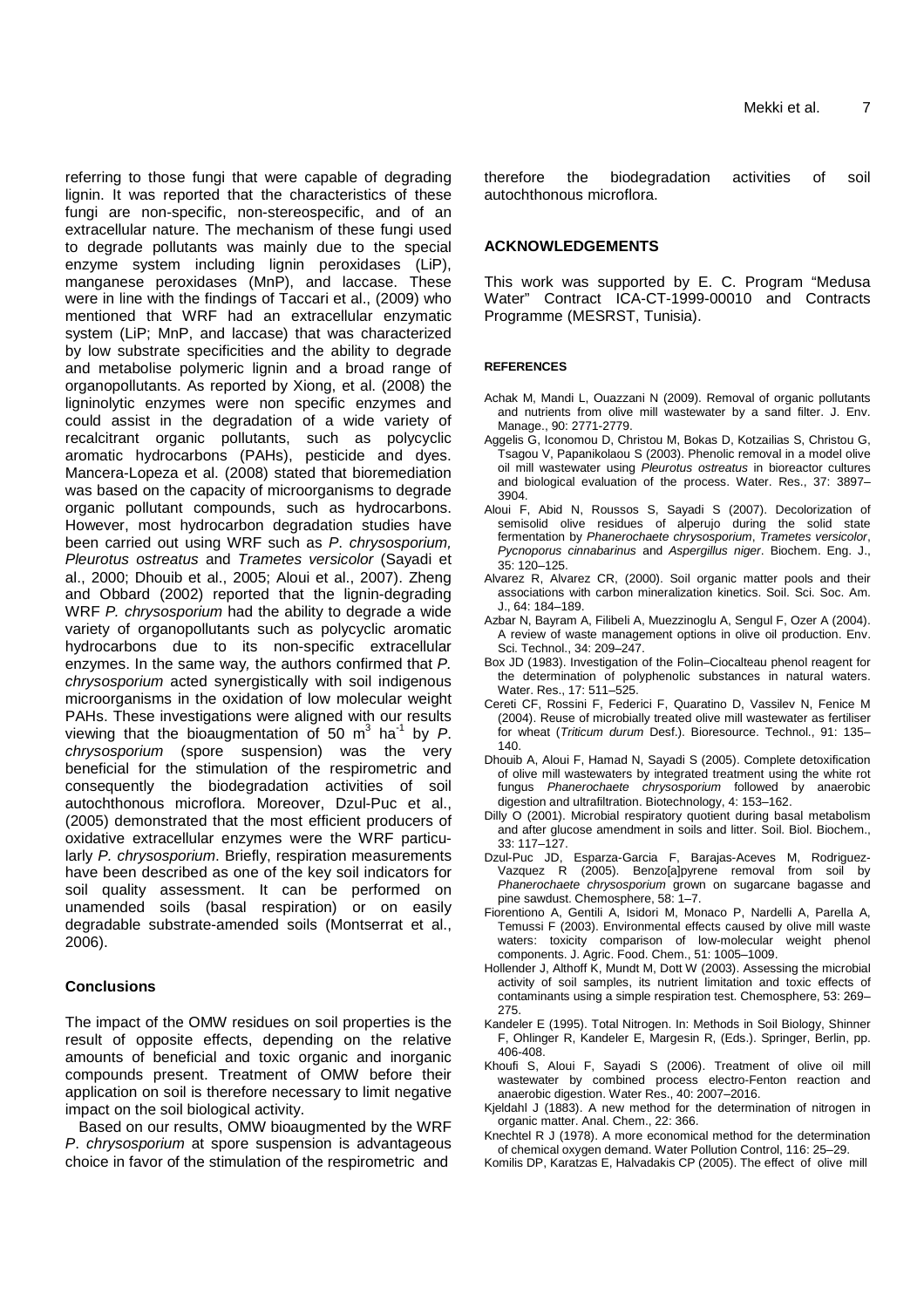referring to those fungi that were capable of degrading lignin. It was reported that the characteristics of these fungi are non-specific, non-stereospecific, and of an extracellular nature. The mechanism of these fungi used to degrade pollutants was mainly due to the special enzyme system including lignin peroxidases (LiP), manganese peroxidases (MnP), and laccase. These were in line with the findings of Taccari et al., (2009) who mentioned that WRF had an extracellular enzymatic system (LiP; MnP, and laccase) that was characterized by low substrate specificities and the ability to degrade and metabolise polymeric lignin and a broad range of organopollutants. As reported by Xiong, et al. (2008) the ligninolytic enzymes were non specific enzymes and could assist in the degradation of a wide variety of recalcitrant organic pollutants, such as polycyclic aromatic hydrocarbons (PAHs), pesticide and dyes. Mancera-Lopeza et al. (2008) stated that bioremediation was based on the capacity of microorganisms to degrade organic pollutant compounds, such as hydrocarbons. However, most hydrocarbon degradation studies have been carried out using WRF such as P. chrysosporium, Pleurotus ostreatus and Trametes versicolor (Sayadi et al., 2000; Dhouib et al., 2005; Aloui et al., 2007). Zheng and Obbard (2002) reported that the lignin-degrading WRF P. chrysosporium had the ability to degrade a wide variety of organopollutants such as polycyclic aromatic hydrocarbons due to its non-specific extracellular enzymes. In the same way, the authors confirmed that P. chrysosporium acted synergistically with soil indigenous microorganisms in the oxidation of low molecular weight PAHs. These investigations were aligned with our results viewing that the bioaugmentation of 50  $m^3$  ha<sup>-1</sup> by P. chrysosporium (spore suspension) was the very beneficial for the stimulation of the respirometric and consequently the biodegradation activities of soil autochthonous microflora. Moreover, Dzul-Puc et al., (2005) demonstrated that the most efficient producers of oxidative extracellular enzymes were the WRF particularly P. chrysosporium. Briefly, respiration measurements have been described as one of the key soil indicators for soil quality assessment. It can be performed on unamended soils (basal respiration) or on easily degradable substrate-amended soils (Montserrat et al., 2006).

# **Conclusions**

The impact of the OMW residues on soil properties is the result of opposite effects, depending on the relative amounts of beneficial and toxic organic and inorganic compounds present. Treatment of OMW before their application on soil is therefore necessary to limit negative impact on the soil biological activity.

Based on our results, OMW bioaugmented by the WRF P. chrysosporium at spore suspension is advantageous choice in favor of the stimulation of the respirometric and

therefore the biodegradation activities of soil autochthonous microflora.

# **ACKNOWLEDGEMENTS**

This work was supported by E. C. Program "Medusa Water" Contract ICA-CT-1999-00010 and Contracts Programme (MESRST, Tunisia).

## **REFERENCES**

- Achak M, Mandi L, Ouazzani N (2009). Removal of organic pollutants and nutrients from olive mill wastewater by a sand filter. J. Env. Manage., 90: 2771-2779.
- Aggelis G, Iconomou D, Christou M, Bokas D, Kotzailias S, Christou G, Tsagou V, Papanikolaou S (2003). Phenolic removal in a model olive oil mill wastewater using Pleurotus ostreatus in bioreactor cultures and biological evaluation of the process. Water. Res., 37: 3897– 3904.
- Aloui F, Abid N, Roussos S, Sayadi S (2007). Decolorization of semisolid olive residues of alperujo during the solid state fermentation by Phanerochaete chrysosporium, Trametes versicolor, Pycnoporus cinnabarinus and Aspergillus niger. Biochem. Eng. J., 35: 120–125.
- Alvarez R, Alvarez CR, (2000). Soil organic matter pools and their associations with carbon mineralization kinetics. Soil. Sci. Soc. Am. J., 64: 184–189.
- Azbar N, Bayram A, Filibeli A, Muezzinoglu A, Sengul F, Ozer A (2004). A review of waste management options in olive oil production. Env. Sci. Technol., 34: 209–247.
- Box JD (1983). Investigation of the Folin–Ciocalteau phenol reagent for the determination of polyphenolic substances in natural waters. Water. Res., 17: 511–525.
- Cereti CF, Rossini F, Federici F, Quaratino D, Vassilev N, Fenice M (2004). Reuse of microbially treated olive mill wastewater as fertiliser for wheat (Triticum durum Desf.). Bioresource. Technol., 91: 135-140.
- Dhouib A, Aloui F, Hamad N, Sayadi S (2005). Complete detoxification of olive mill wastewaters by integrated treatment using the white rot fungus Phanerochaete chrysosporium followed by anaerobic digestion and ultrafiltration. Biotechnology, 4: 153–162.
- Dilly O (2001). Microbial respiratory quotient during basal metabolism and after glucose amendment in soils and litter. Soil. Biol. Biochem., 33: 117–127.
- Dzul-Puc JD, Esparza-Garcia F, Barajas-Aceves M, Rodriguez-Vazquez R (2005). Benzo[a]pyrene removal from soil by Phanerochaete chrysosporium grown on sugarcane bagasse and pine sawdust. Chemosphere, 58: 1–7.
- Fiorentiono A, Gentili A, Isidori M, Monaco P, Nardelli A, Parella A, Temussi F (2003). Environmental effects caused by olive mill waste waters: toxicity comparison of low-molecular weight phenol components. J. Agric. Food. Chem., 51: 1005–1009.
- Hollender J, Althoff K, Mundt M, Dott W (2003). Assessing the microbial activity of soil samples, its nutrient limitation and toxic effects of contaminants using a simple respiration test. Chemosphere, 53: 269– 275.
- Kandeler E (1995). Total Nitrogen. In: Methods in Soil Biology, Shinner F, Ohlinger R, Kandeler E, Margesin R, (Eds.). Springer, Berlin, pp. 406-408.
- Khoufi S, Aloui F, Sayadi S (2006). Treatment of olive oil mill wastewater by combined process electro-Fenton reaction and anaerobic digestion. Water Res., 40: 2007–2016.
- Kjeldahl J (1883). A new method for the determination of nitrogen in organic matter. Anal. Chem., 22: 366.
- Knechtel R J (1978). A more economical method for the determination of chemical oxygen demand. Water Pollution Control, 116: 25–29.
- Komilis DP, Karatzas E, Halvadakis CP (2005). The effect of olive mill